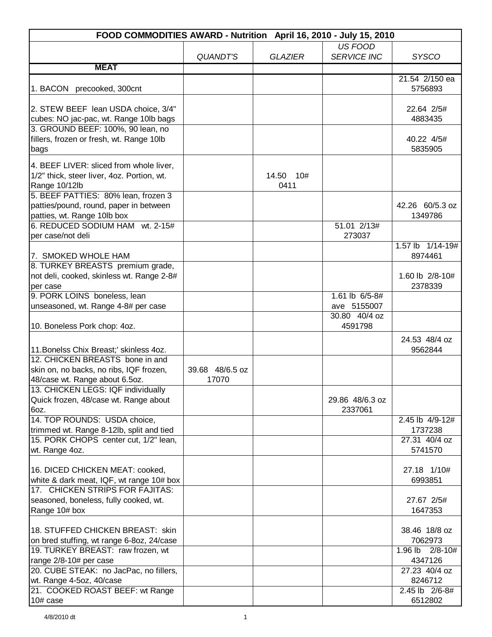| FOOD COMMODITIES AWARD - Nutrition April 16, 2010 - July 15, 2010                                                                                              |                          |                   |                               |                                     |
|----------------------------------------------------------------------------------------------------------------------------------------------------------------|--------------------------|-------------------|-------------------------------|-------------------------------------|
|                                                                                                                                                                | <b>QUANDT'S</b>          | <b>GLAZIER</b>    | US FOOD<br><b>SERVICE INC</b> | <b>SYSCO</b>                        |
| <b>MEAT</b>                                                                                                                                                    |                          |                   |                               |                                     |
| 1. BACON precooked, 300cnt                                                                                                                                     |                          |                   |                               | 21.54 2/150 ea<br>5756893           |
| 2. STEW BEEF lean USDA choice, 3/4"<br>cubes: NO jac-pac, wt. Range 10lb bags<br>3. GROUND BEEF: 100%, 90 lean, no<br>fillers, frozen or fresh, wt. Range 10lb |                          |                   |                               | 22.64 2/5#<br>4883435<br>40.22 4/5# |
| bags                                                                                                                                                           |                          |                   |                               | 5835905                             |
| 4. BEEF LIVER: sliced from whole liver,<br>1/2" thick, steer liver, 4oz. Portion, wt.<br>Range 10/12lb                                                         |                          | 14.50 10#<br>0411 |                               |                                     |
| 5. BEEF PATTIES: 80% lean, frozen 3<br>patties/pound, round, paper in between<br>patties, wt. Range 10lb box                                                   |                          |                   |                               | 42.26 60/5.3 oz<br>1349786          |
| 6. REDUCED SODIUM HAM wt. 2-15#<br>per case/not deli                                                                                                           |                          |                   | 51.01 2/13#<br>273037         |                                     |
| 7. SMOKED WHOLE HAM                                                                                                                                            |                          |                   |                               | 1.57 lb 1/14-19#<br>8974461         |
| 8. TURKEY BREASTS premium grade,<br>not deli, cooked, skinless wt. Range 2-8#<br>per case                                                                      |                          |                   |                               | 1.60 lb 2/8-10#<br>2378339          |
| 9. PORK LOINS boneless, lean                                                                                                                                   |                          |                   | 1.61 lb 6/5-8#                |                                     |
| unseasoned, wt. Range 4-8# per case                                                                                                                            |                          |                   | ave 5155007                   |                                     |
| 10. Boneless Pork chop: 4oz.                                                                                                                                   |                          |                   | 30.80 40/4 oz<br>4591798      | 24.53 48/4 oz                       |
| 11. Bonelss Chix Breast;' skinless 4oz.                                                                                                                        |                          |                   |                               | 9562844                             |
| 12. CHICKEN BREASTS bone in and                                                                                                                                |                          |                   |                               |                                     |
| skin on, no backs, no ribs, IQF frozen,<br>48/case wt. Range about 6.5oz.                                                                                      | 39.68 48/6.5 oz<br>17070 |                   |                               |                                     |
| 13. CHICKEN LEGS: IQF individually                                                                                                                             |                          |                   |                               |                                     |
| Quick frozen, 48/case wt. Range about                                                                                                                          |                          |                   | 29.86 48/6.3 oz               |                                     |
| 6oz.<br>14. TOP ROUNDS: USDA choice,<br>trimmed wt. Range 8-12lb, split and tied                                                                               |                          |                   | 2337061                       | 2.45 lb 4/9-12#<br>1737238          |
| 15. PORK CHOPS center cut, 1/2" lean,<br>wt. Range 4oz.                                                                                                        |                          |                   |                               | 27.31 40/4 oz<br>5741570            |
|                                                                                                                                                                |                          |                   |                               |                                     |
| 16. DICED CHICKEN MEAT: cooked,<br>white & dark meat, IQF, wt range 10# box                                                                                    |                          |                   |                               | 27.18 1/10#<br>6993851              |
| 17. CHICKEN STRIPS FOR FAJITAS:<br>seasoned, boneless, fully cooked, wt.<br>Range 10# box                                                                      |                          |                   |                               | 27.67 2/5#<br>1647353               |
| 18. STUFFED CHICKEN BREAST: skin<br>on bred stuffing, wt range 6-8oz, 24/case                                                                                  |                          |                   |                               | 38.46 18/8 oz<br>7062973            |
| 19. TURKEY BREAST: raw frozen, wt<br>range 2/8-10# per case                                                                                                    |                          |                   |                               | $2/8 - 10#$<br>$1.96$ lb<br>4347126 |
| 20. CUBE STEAK: no JacPac, no fillers,<br>wt. Range 4-5oz, 40/case                                                                                             |                          |                   |                               | 27.23 40/4 oz<br>8246712            |
| 21. COOKED ROAST BEEF: wt Range                                                                                                                                |                          |                   |                               | 2.45 lb 2/6-8#                      |
| $10#$ case                                                                                                                                                     |                          |                   |                               | 6512802                             |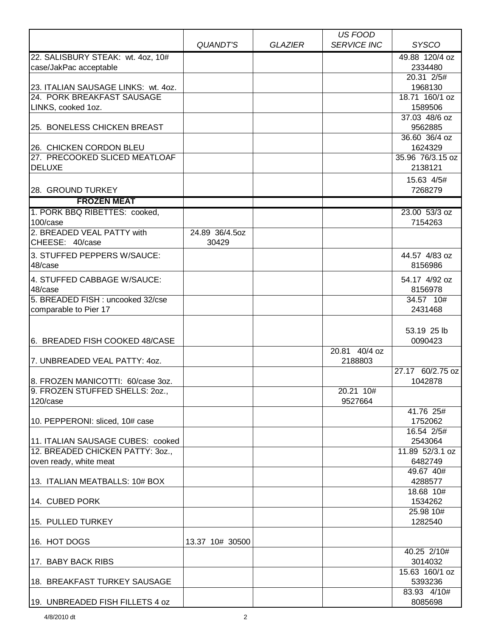| 22. SALISBURY STEAK: wt. 4oz, 10#<br>49.88 120/4 oz<br>2334480<br>case/JakPac acceptable<br>20.31 2/5#<br>23. ITALIAN SAUSAGE LINKS: wt. 4oz.<br>1968130<br>24. PORK BREAKFAST SAUSAGE<br>18.71 160/1 oz<br>1589506<br>LINKS, cooked 1oz.<br>37.03 48/6 oz<br>25. BONELESS CHICKEN BREAST<br>9562885<br>36.60 36/4 oz<br>26. CHICKEN CORDON BLEU<br>1624329<br>27. PRECOOKED SLICED MEATLOAF<br>35.96 76/3.15 oz<br><b>DELUXE</b><br>2138121<br>15.63 4/5#<br>28. GROUND TURKEY<br>7268279<br><b>FROZEN MEAT</b><br>1. PORK BBQ RIBETTES: cooked,<br>23.00 53/3 oz<br>100/case<br>7154263<br>2. BREADED VEAL PATTY with<br>24.89 36/4.5oz<br>CHEESE: 40/case<br>30429<br>3. STUFFED PEPPERS W/SAUCE:<br>44.57 4/83 oz<br>48/case<br>8156986<br>4. STUFFED CABBAGE W/SAUCE:<br>54.17 4/92 oz<br>48/case<br>8156978<br>5. BREADED FISH: uncooked 32/cse<br>34.57 10#<br>2431468<br>comparable to Pier 17<br>53.19 25 lb<br>6. BREADED FISH COOKED 48/CASE<br>0090423<br>20.81 40/4 oz<br>7. UNBREADED VEAL PATTY: 40Z.<br>2188803<br>27.17 60/2.75 oz<br>1042878<br>8. FROZEN MANICOTTI: 60/case 3oz.<br>20.21 10#<br>9527664<br>120/case<br>41.76 25#<br>10. PEPPERONI: sliced, 10# case<br>1752062<br>16.54 2/5#<br>11. ITALIAN SAUSAGE CUBES: cooked<br>2543064<br>12. BREADED CHICKEN PATTY: 30Z.,<br>11.89 52/3.1 oz<br>6482749<br>oven ready, white meat<br>49.67 40#<br>13. ITALIAN MEATBALLS: 10# BOX<br>4288577<br>18.68 10#<br>14. CUBED PORK<br>1534262<br>25.98 10#<br>1282540<br>15. PULLED TURKEY<br>16. HOT DOGS<br>13.37 10# 30500<br>40.25 2/10#<br>3014032<br>17. BABY BACK RIBS<br>15.63 160/1 oz<br>18. BREAKFAST TURKEY SAUSAGE<br>5393236<br>83.93 4/10# |                                 |          |                | US FOOD            |              |
|------------------------------------------------------------------------------------------------------------------------------------------------------------------------------------------------------------------------------------------------------------------------------------------------------------------------------------------------------------------------------------------------------------------------------------------------------------------------------------------------------------------------------------------------------------------------------------------------------------------------------------------------------------------------------------------------------------------------------------------------------------------------------------------------------------------------------------------------------------------------------------------------------------------------------------------------------------------------------------------------------------------------------------------------------------------------------------------------------------------------------------------------------------------------------------------------------------------------------------------------------------------------------------------------------------------------------------------------------------------------------------------------------------------------------------------------------------------------------------------------------------------------------------------------------------------------------------------------------------------------------------------------------------------------------|---------------------------------|----------|----------------|--------------------|--------------|
|                                                                                                                                                                                                                                                                                                                                                                                                                                                                                                                                                                                                                                                                                                                                                                                                                                                                                                                                                                                                                                                                                                                                                                                                                                                                                                                                                                                                                                                                                                                                                                                                                                                                              |                                 | QUANDT'S | <b>GLAZIER</b> | <b>SERVICE INC</b> | <b>SYSCO</b> |
|                                                                                                                                                                                                                                                                                                                                                                                                                                                                                                                                                                                                                                                                                                                                                                                                                                                                                                                                                                                                                                                                                                                                                                                                                                                                                                                                                                                                                                                                                                                                                                                                                                                                              |                                 |          |                |                    |              |
|                                                                                                                                                                                                                                                                                                                                                                                                                                                                                                                                                                                                                                                                                                                                                                                                                                                                                                                                                                                                                                                                                                                                                                                                                                                                                                                                                                                                                                                                                                                                                                                                                                                                              |                                 |          |                |                    |              |
|                                                                                                                                                                                                                                                                                                                                                                                                                                                                                                                                                                                                                                                                                                                                                                                                                                                                                                                                                                                                                                                                                                                                                                                                                                                                                                                                                                                                                                                                                                                                                                                                                                                                              |                                 |          |                |                    |              |
|                                                                                                                                                                                                                                                                                                                                                                                                                                                                                                                                                                                                                                                                                                                                                                                                                                                                                                                                                                                                                                                                                                                                                                                                                                                                                                                                                                                                                                                                                                                                                                                                                                                                              |                                 |          |                |                    |              |
|                                                                                                                                                                                                                                                                                                                                                                                                                                                                                                                                                                                                                                                                                                                                                                                                                                                                                                                                                                                                                                                                                                                                                                                                                                                                                                                                                                                                                                                                                                                                                                                                                                                                              |                                 |          |                |                    |              |
|                                                                                                                                                                                                                                                                                                                                                                                                                                                                                                                                                                                                                                                                                                                                                                                                                                                                                                                                                                                                                                                                                                                                                                                                                                                                                                                                                                                                                                                                                                                                                                                                                                                                              |                                 |          |                |                    |              |
|                                                                                                                                                                                                                                                                                                                                                                                                                                                                                                                                                                                                                                                                                                                                                                                                                                                                                                                                                                                                                                                                                                                                                                                                                                                                                                                                                                                                                                                                                                                                                                                                                                                                              |                                 |          |                |                    |              |
|                                                                                                                                                                                                                                                                                                                                                                                                                                                                                                                                                                                                                                                                                                                                                                                                                                                                                                                                                                                                                                                                                                                                                                                                                                                                                                                                                                                                                                                                                                                                                                                                                                                                              |                                 |          |                |                    |              |
|                                                                                                                                                                                                                                                                                                                                                                                                                                                                                                                                                                                                                                                                                                                                                                                                                                                                                                                                                                                                                                                                                                                                                                                                                                                                                                                                                                                                                                                                                                                                                                                                                                                                              |                                 |          |                |                    |              |
|                                                                                                                                                                                                                                                                                                                                                                                                                                                                                                                                                                                                                                                                                                                                                                                                                                                                                                                                                                                                                                                                                                                                                                                                                                                                                                                                                                                                                                                                                                                                                                                                                                                                              |                                 |          |                |                    |              |
|                                                                                                                                                                                                                                                                                                                                                                                                                                                                                                                                                                                                                                                                                                                                                                                                                                                                                                                                                                                                                                                                                                                                                                                                                                                                                                                                                                                                                                                                                                                                                                                                                                                                              |                                 |          |                |                    |              |
|                                                                                                                                                                                                                                                                                                                                                                                                                                                                                                                                                                                                                                                                                                                                                                                                                                                                                                                                                                                                                                                                                                                                                                                                                                                                                                                                                                                                                                                                                                                                                                                                                                                                              |                                 |          |                |                    |              |
|                                                                                                                                                                                                                                                                                                                                                                                                                                                                                                                                                                                                                                                                                                                                                                                                                                                                                                                                                                                                                                                                                                                                                                                                                                                                                                                                                                                                                                                                                                                                                                                                                                                                              |                                 |          |                |                    |              |
|                                                                                                                                                                                                                                                                                                                                                                                                                                                                                                                                                                                                                                                                                                                                                                                                                                                                                                                                                                                                                                                                                                                                                                                                                                                                                                                                                                                                                                                                                                                                                                                                                                                                              |                                 |          |                |                    |              |
|                                                                                                                                                                                                                                                                                                                                                                                                                                                                                                                                                                                                                                                                                                                                                                                                                                                                                                                                                                                                                                                                                                                                                                                                                                                                                                                                                                                                                                                                                                                                                                                                                                                                              |                                 |          |                |                    |              |
|                                                                                                                                                                                                                                                                                                                                                                                                                                                                                                                                                                                                                                                                                                                                                                                                                                                                                                                                                                                                                                                                                                                                                                                                                                                                                                                                                                                                                                                                                                                                                                                                                                                                              |                                 |          |                |                    |              |
|                                                                                                                                                                                                                                                                                                                                                                                                                                                                                                                                                                                                                                                                                                                                                                                                                                                                                                                                                                                                                                                                                                                                                                                                                                                                                                                                                                                                                                                                                                                                                                                                                                                                              |                                 |          |                |                    |              |
|                                                                                                                                                                                                                                                                                                                                                                                                                                                                                                                                                                                                                                                                                                                                                                                                                                                                                                                                                                                                                                                                                                                                                                                                                                                                                                                                                                                                                                                                                                                                                                                                                                                                              |                                 |          |                |                    |              |
|                                                                                                                                                                                                                                                                                                                                                                                                                                                                                                                                                                                                                                                                                                                                                                                                                                                                                                                                                                                                                                                                                                                                                                                                                                                                                                                                                                                                                                                                                                                                                                                                                                                                              |                                 |          |                |                    |              |
|                                                                                                                                                                                                                                                                                                                                                                                                                                                                                                                                                                                                                                                                                                                                                                                                                                                                                                                                                                                                                                                                                                                                                                                                                                                                                                                                                                                                                                                                                                                                                                                                                                                                              |                                 |          |                |                    |              |
|                                                                                                                                                                                                                                                                                                                                                                                                                                                                                                                                                                                                                                                                                                                                                                                                                                                                                                                                                                                                                                                                                                                                                                                                                                                                                                                                                                                                                                                                                                                                                                                                                                                                              |                                 |          |                |                    |              |
|                                                                                                                                                                                                                                                                                                                                                                                                                                                                                                                                                                                                                                                                                                                                                                                                                                                                                                                                                                                                                                                                                                                                                                                                                                                                                                                                                                                                                                                                                                                                                                                                                                                                              |                                 |          |                |                    |              |
|                                                                                                                                                                                                                                                                                                                                                                                                                                                                                                                                                                                                                                                                                                                                                                                                                                                                                                                                                                                                                                                                                                                                                                                                                                                                                                                                                                                                                                                                                                                                                                                                                                                                              |                                 |          |                |                    |              |
|                                                                                                                                                                                                                                                                                                                                                                                                                                                                                                                                                                                                                                                                                                                                                                                                                                                                                                                                                                                                                                                                                                                                                                                                                                                                                                                                                                                                                                                                                                                                                                                                                                                                              |                                 |          |                |                    |              |
|                                                                                                                                                                                                                                                                                                                                                                                                                                                                                                                                                                                                                                                                                                                                                                                                                                                                                                                                                                                                                                                                                                                                                                                                                                                                                                                                                                                                                                                                                                                                                                                                                                                                              |                                 |          |                |                    |              |
|                                                                                                                                                                                                                                                                                                                                                                                                                                                                                                                                                                                                                                                                                                                                                                                                                                                                                                                                                                                                                                                                                                                                                                                                                                                                                                                                                                                                                                                                                                                                                                                                                                                                              |                                 |          |                |                    |              |
|                                                                                                                                                                                                                                                                                                                                                                                                                                                                                                                                                                                                                                                                                                                                                                                                                                                                                                                                                                                                                                                                                                                                                                                                                                                                                                                                                                                                                                                                                                                                                                                                                                                                              |                                 |          |                |                    |              |
|                                                                                                                                                                                                                                                                                                                                                                                                                                                                                                                                                                                                                                                                                                                                                                                                                                                                                                                                                                                                                                                                                                                                                                                                                                                                                                                                                                                                                                                                                                                                                                                                                                                                              |                                 |          |                |                    |              |
|                                                                                                                                                                                                                                                                                                                                                                                                                                                                                                                                                                                                                                                                                                                                                                                                                                                                                                                                                                                                                                                                                                                                                                                                                                                                                                                                                                                                                                                                                                                                                                                                                                                                              |                                 |          |                |                    |              |
|                                                                                                                                                                                                                                                                                                                                                                                                                                                                                                                                                                                                                                                                                                                                                                                                                                                                                                                                                                                                                                                                                                                                                                                                                                                                                                                                                                                                                                                                                                                                                                                                                                                                              | 9. FROZEN STUFFED SHELLS: 20Z., |          |                |                    |              |
|                                                                                                                                                                                                                                                                                                                                                                                                                                                                                                                                                                                                                                                                                                                                                                                                                                                                                                                                                                                                                                                                                                                                                                                                                                                                                                                                                                                                                                                                                                                                                                                                                                                                              |                                 |          |                |                    |              |
|                                                                                                                                                                                                                                                                                                                                                                                                                                                                                                                                                                                                                                                                                                                                                                                                                                                                                                                                                                                                                                                                                                                                                                                                                                                                                                                                                                                                                                                                                                                                                                                                                                                                              |                                 |          |                |                    |              |
|                                                                                                                                                                                                                                                                                                                                                                                                                                                                                                                                                                                                                                                                                                                                                                                                                                                                                                                                                                                                                                                                                                                                                                                                                                                                                                                                                                                                                                                                                                                                                                                                                                                                              |                                 |          |                |                    |              |
|                                                                                                                                                                                                                                                                                                                                                                                                                                                                                                                                                                                                                                                                                                                                                                                                                                                                                                                                                                                                                                                                                                                                                                                                                                                                                                                                                                                                                                                                                                                                                                                                                                                                              |                                 |          |                |                    |              |
|                                                                                                                                                                                                                                                                                                                                                                                                                                                                                                                                                                                                                                                                                                                                                                                                                                                                                                                                                                                                                                                                                                                                                                                                                                                                                                                                                                                                                                                                                                                                                                                                                                                                              |                                 |          |                |                    |              |
|                                                                                                                                                                                                                                                                                                                                                                                                                                                                                                                                                                                                                                                                                                                                                                                                                                                                                                                                                                                                                                                                                                                                                                                                                                                                                                                                                                                                                                                                                                                                                                                                                                                                              |                                 |          |                |                    |              |
|                                                                                                                                                                                                                                                                                                                                                                                                                                                                                                                                                                                                                                                                                                                                                                                                                                                                                                                                                                                                                                                                                                                                                                                                                                                                                                                                                                                                                                                                                                                                                                                                                                                                              |                                 |          |                |                    |              |
|                                                                                                                                                                                                                                                                                                                                                                                                                                                                                                                                                                                                                                                                                                                                                                                                                                                                                                                                                                                                                                                                                                                                                                                                                                                                                                                                                                                                                                                                                                                                                                                                                                                                              |                                 |          |                |                    |              |
|                                                                                                                                                                                                                                                                                                                                                                                                                                                                                                                                                                                                                                                                                                                                                                                                                                                                                                                                                                                                                                                                                                                                                                                                                                                                                                                                                                                                                                                                                                                                                                                                                                                                              |                                 |          |                |                    |              |
|                                                                                                                                                                                                                                                                                                                                                                                                                                                                                                                                                                                                                                                                                                                                                                                                                                                                                                                                                                                                                                                                                                                                                                                                                                                                                                                                                                                                                                                                                                                                                                                                                                                                              |                                 |          |                |                    |              |
|                                                                                                                                                                                                                                                                                                                                                                                                                                                                                                                                                                                                                                                                                                                                                                                                                                                                                                                                                                                                                                                                                                                                                                                                                                                                                                                                                                                                                                                                                                                                                                                                                                                                              |                                 |          |                |                    |              |
|                                                                                                                                                                                                                                                                                                                                                                                                                                                                                                                                                                                                                                                                                                                                                                                                                                                                                                                                                                                                                                                                                                                                                                                                                                                                                                                                                                                                                                                                                                                                                                                                                                                                              |                                 |          |                |                    |              |
|                                                                                                                                                                                                                                                                                                                                                                                                                                                                                                                                                                                                                                                                                                                                                                                                                                                                                                                                                                                                                                                                                                                                                                                                                                                                                                                                                                                                                                                                                                                                                                                                                                                                              |                                 |          |                |                    |              |
|                                                                                                                                                                                                                                                                                                                                                                                                                                                                                                                                                                                                                                                                                                                                                                                                                                                                                                                                                                                                                                                                                                                                                                                                                                                                                                                                                                                                                                                                                                                                                                                                                                                                              |                                 |          |                |                    |              |
|                                                                                                                                                                                                                                                                                                                                                                                                                                                                                                                                                                                                                                                                                                                                                                                                                                                                                                                                                                                                                                                                                                                                                                                                                                                                                                                                                                                                                                                                                                                                                                                                                                                                              |                                 |          |                |                    |              |
|                                                                                                                                                                                                                                                                                                                                                                                                                                                                                                                                                                                                                                                                                                                                                                                                                                                                                                                                                                                                                                                                                                                                                                                                                                                                                                                                                                                                                                                                                                                                                                                                                                                                              |                                 |          |                |                    |              |
|                                                                                                                                                                                                                                                                                                                                                                                                                                                                                                                                                                                                                                                                                                                                                                                                                                                                                                                                                                                                                                                                                                                                                                                                                                                                                                                                                                                                                                                                                                                                                                                                                                                                              |                                 |          |                |                    |              |
|                                                                                                                                                                                                                                                                                                                                                                                                                                                                                                                                                                                                                                                                                                                                                                                                                                                                                                                                                                                                                                                                                                                                                                                                                                                                                                                                                                                                                                                                                                                                                                                                                                                                              | 19. UNBREADED FISH FILLETS 4 oz |          |                |                    | 8085698      |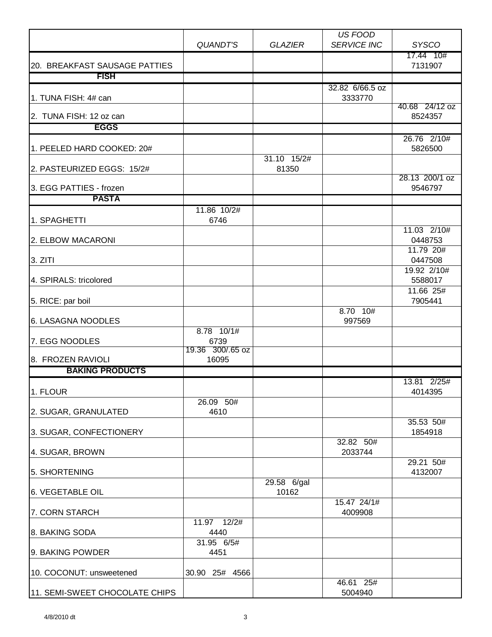|                                |                      |                      | <b>US FOOD</b>         |                           |
|--------------------------------|----------------------|----------------------|------------------------|---------------------------|
|                                | <b>QUANDT'S</b>      | <b>GLAZIER</b>       | <b>SERVICE INC</b>     | <b>SYSCO</b>              |
| 20. BREAKFAST SAUSAGE PATTIES  |                      |                      |                        | 17.44 10#<br>7131907      |
| <b>FISH</b>                    |                      |                      |                        |                           |
|                                |                      |                      | 32.82 6/66.5 oz        |                           |
| 1. TUNA FISH: 4# can           |                      |                      | 3333770                |                           |
| 2. TUNA FISH: 12 oz can        |                      |                      |                        | 40.68 24/12 oz<br>8524357 |
| <b>EGGS</b>                    |                      |                      |                        |                           |
|                                |                      |                      |                        | 26.76 2/10#               |
| 1. PEELED HARD COOKED: 20#     |                      |                      |                        | 5826500                   |
| 2. PASTEURIZED EGGS: 15/2#     |                      | 31.10 15/2#<br>81350 |                        |                           |
| 3. EGG PATTIES - frozen        |                      |                      |                        | 28.13 200/1 oz<br>9546797 |
| <b>PASTA</b>                   |                      |                      |                        |                           |
|                                | 11.86 10/2#          |                      |                        |                           |
| 1. SPAGHETTI                   | 6746                 |                      |                        |                           |
| 2. ELBOW MACARONI              |                      |                      |                        | 11.03 2/10#<br>0448753    |
| 3. ZITI                        |                      |                      |                        | 11.79 20#<br>0447508      |
|                                |                      |                      |                        | 19.92 2/10#               |
| 4. SPIRALS: tricolored         |                      |                      |                        | 5588017                   |
| 5. RICE: par boil              |                      |                      |                        | 11.66 25#<br>7905441      |
|                                |                      |                      | 8.70 10#               |                           |
| 6. LASAGNA NOODLES             |                      |                      | 997569                 |                           |
| 7. EGG NOODLES                 | $8.78$ 10/1#<br>6739 |                      |                        |                           |
|                                | 19.36 300/.65 oz     |                      |                        |                           |
| 8. FROZEN RAVIOLI              | 16095                |                      |                        |                           |
| <b>BAKING PRODUCTS</b>         |                      |                      |                        |                           |
| 1. FLOUR                       |                      |                      |                        | 13.81 2/25#<br>4014395    |
|                                | 26.09 50#            |                      |                        |                           |
| 2. SUGAR, GRANULATED           | 4610                 |                      |                        | 35.53 50#                 |
| 3. SUGAR, CONFECTIONERY        |                      |                      |                        | 1854918                   |
|                                |                      |                      | 32.82 50#              |                           |
| 4. SUGAR, BROWN                |                      |                      | 2033744                | 29.21 50#                 |
| 5. SHORTENING                  |                      |                      |                        | 4132007                   |
|                                |                      | 29.58 6/gal          |                        |                           |
| <b>6. VEGETABLE OIL</b>        |                      | 10162                |                        |                           |
| 7. CORN STARCH                 |                      |                      | 15.47 24/1#<br>4009908 |                           |
|                                | 11.97 12/2#          |                      |                        |                           |
| 8. BAKING SODA                 | 4440                 |                      |                        |                           |
| 9. BAKING POWDER               | 31.95 6/5#<br>4451   |                      |                        |                           |
|                                |                      |                      |                        |                           |
| 10. COCONUT: unsweetened       | 30.90 25# 4566       |                      |                        |                           |
| 11. SEMI-SWEET CHOCOLATE CHIPS |                      |                      | 46.61 25#<br>5004940   |                           |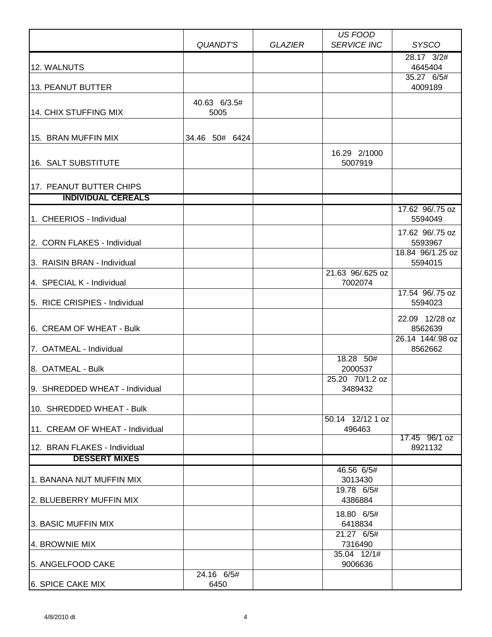|                                                      |                      |                | US FOOD                     |                             |
|------------------------------------------------------|----------------------|----------------|-----------------------------|-----------------------------|
|                                                      | <b>QUANDT'S</b>      | <b>GLAZIER</b> | <b>SERVICE INC</b>          | <b>SYSCO</b>                |
| 12. WALNUTS                                          |                      |                |                             | 28.17 3/2#<br>4645404       |
| 13. PEANUT BUTTER                                    |                      |                |                             | 35.27 6/5#<br>4009189       |
| 14. CHIX STUFFING MIX                                | 40.63 6/3.5#<br>5005 |                |                             |                             |
| 15. BRAN MUFFIN MIX                                  | 34.46 50# 6424       |                | 16.29 2/1000                |                             |
| 16. SALT SUBSTITUTE                                  |                      |                | 5007919                     |                             |
| 17. PEANUT BUTTER CHIPS<br><b>INDIVIDUAL CEREALS</b> |                      |                |                             |                             |
|                                                      |                      |                |                             |                             |
| 1. CHEERIOS - Individual                             |                      |                |                             | 17.62 96/.75 oz<br>5594049  |
| 2. CORN FLAKES - Individual                          |                      |                |                             | 17.62 96/.75 oz<br>5593967  |
| 3. RAISIN BRAN - Individual                          |                      |                |                             | 18.84 96/1.25 oz<br>5594015 |
| 4. SPECIAL K - Individual                            |                      |                | 21.63 96/.625 oz<br>7002074 |                             |
| 5. RICE CRISPIES - Individual                        |                      |                |                             | 17.54 96/.75 oz<br>5594023  |
| 6. CREAM OF WHEAT - Bulk                             |                      |                |                             | 22.09 12/28 oz<br>8562639   |
| 7. OATMEAL - Individual                              |                      |                | 18.28 50#                   | 26.14 144/.98 oz<br>8562662 |
| 8. OATMEAL - Bulk                                    |                      |                | 2000537                     |                             |
| 9. SHREDDED WHEAT - Individual                       |                      |                | 25.20 70/1.2 oz<br>3489432  |                             |
| 10. SHREDDED WHEAT - Bulk                            |                      |                |                             |                             |
| 11. CREAM OF WHEAT - Individual                      |                      |                | 50.14 12/12 1 oz<br>496463  | 17.45 96/1 oz               |
| 12. BRAN FLAKES - Individual                         |                      |                |                             | 8921132                     |
| <b>DESSERT MIXES</b>                                 |                      |                |                             |                             |
| 1. BANANA NUT MUFFIN MIX                             |                      |                | 46.56 6/5#<br>3013430       |                             |
| 2. BLUEBERRY MUFFIN MIX                              |                      |                | 19.78 6/5#<br>4386884       |                             |
| 3. BASIC MUFFIN MIX                                  |                      |                | 18.80 6/5#<br>6418834       |                             |
| 4. BROWNIE MIX                                       |                      |                | 21.27 6/5#<br>7316490       |                             |
| 5. ANGELFOOD CAKE                                    |                      |                | 35.04 12/1#<br>9006636      |                             |
| 6. SPICE CAKE MIX                                    | 24.16 6/5#<br>6450   |                |                             |                             |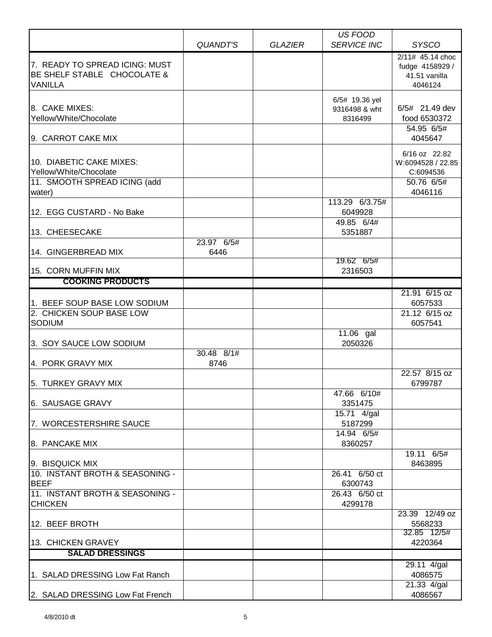|                                                                                    |                    |                | <b>US FOOD</b>                             |                                                                 |
|------------------------------------------------------------------------------------|--------------------|----------------|--------------------------------------------|-----------------------------------------------------------------|
|                                                                                    | QUANDT'S           | <b>GLAZIER</b> | <b>SERVICE INC</b>                         | <b>SYSCO</b>                                                    |
| 7. READY TO SPREAD ICING: MUST<br>BE SHELF STABLE CHOCOLATE &<br><b>VANILLA</b>    |                    |                |                                            | 2/11# 45.14 choc<br>fudge 4158929 /<br>41.51 vanilla<br>4046124 |
| 8. CAKE MIXES:<br>Yellow/White/Chocolate                                           |                    |                | 6/5# 19.36 yel<br>9316498 & wht<br>8316499 | 6/5# 21.49 dev<br>food 6530372                                  |
| 9. CARROT CAKE MIX                                                                 |                    |                |                                            | 54.95 6/5#<br>4045647                                           |
| 10. DIABETIC CAKE MIXES:<br>Yellow/White/Chocolate<br>11. SMOOTH SPREAD ICING (add |                    |                |                                            | 6/16 oz 22.82<br>W:6094528 / 22.85<br>C:6094536<br>50.76 6/5#   |
| water)                                                                             |                    |                |                                            | 4046116                                                         |
| 12. EGG CUSTARD - No Bake                                                          |                    |                | 113.29 6/3.75#<br>6049928                  |                                                                 |
| 13. CHEESECAKE                                                                     |                    |                | 49.85 6/4#<br>5351887                      |                                                                 |
| 14. GINGERBREAD MIX<br>15. CORN MUFFIN MIX                                         | 23.97 6/5#<br>6446 |                | 19.62 6/5#<br>2316503                      |                                                                 |
| <b>COOKING PRODUCTS</b>                                                            |                    |                |                                            |                                                                 |
| 1. BEEF SOUP BASE LOW SODIUM                                                       |                    |                |                                            | 21.91 6/15 oz<br>6057533                                        |
| 2. CHICKEN SOUP BASE LOW<br><b>SODIUM</b>                                          |                    |                | $\overline{11.06}$ gal                     | 21.12 6/15 oz<br>6057541                                        |
| 3. SOY SAUCE LOW SODIUM                                                            | 30.48 8/1#         |                | 2050326                                    |                                                                 |
| 4. PORK GRAVY MIX                                                                  | 8746               |                |                                            | 22.57 8/15 oz                                                   |
| 5. TURKEY GRAVY MIX                                                                |                    |                | 47.66 6/10#                                | 6799787                                                         |
| 6. SAUSAGE GRAVY                                                                   |                    |                | 3351475                                    |                                                                 |
| 7. WORCESTERSHIRE SAUCE                                                            |                    |                | 15.71 4/gal<br>5187299                     |                                                                 |
| 8. PANCAKE MIX                                                                     |                    |                | 14.94 6/5#<br>8360257                      |                                                                 |
| 9. BISQUICK MIX                                                                    |                    |                |                                            | 19.11 6/5#<br>8463895                                           |
| 10. INSTANT BROTH & SEASONING -<br><b>BEEF</b>                                     |                    |                | 26.41 6/50 ct<br>6300743                   |                                                                 |
| 11. INSTANT BROTH & SEASONING -<br><b>CHICKEN</b>                                  |                    |                | 26.43 6/50 ct<br>4299178                   |                                                                 |
| 12. BEEF BROTH                                                                     |                    |                |                                            | 23.39 12/49 oz<br>5568233                                       |
| 13. CHICKEN GRAVEY                                                                 |                    |                |                                            | 32.85 12/5#<br>4220364                                          |
| <b>SALAD DRESSINGS</b>                                                             |                    |                |                                            |                                                                 |
| 1. SALAD DRESSING Low Fat Ranch                                                    |                    |                |                                            | 29.11 4/gal<br>4086575<br>21.33 4/gal                           |
| 2. SALAD DRESSING Low Fat French                                                   |                    |                |                                            | 4086567                                                         |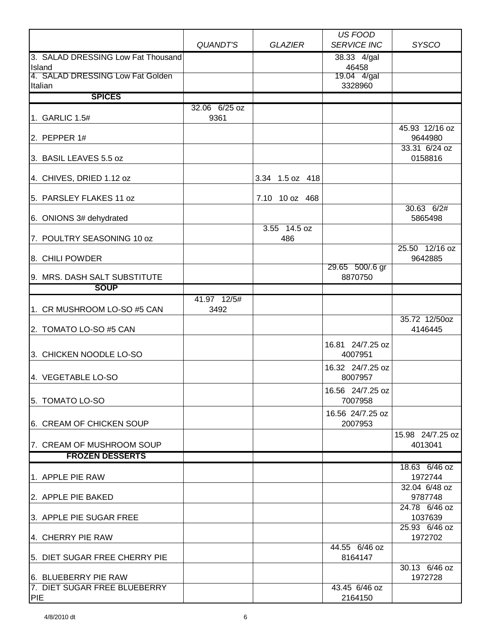|                                            |                       |                 | <b>US FOOD</b>              |                             |
|--------------------------------------------|-----------------------|-----------------|-----------------------------|-----------------------------|
|                                            | QUANDT'S              | <b>GLAZIER</b>  | <b>SERVICE INC</b>          | <b>SYSCO</b>                |
| 3. SALAD DRESSING Low Fat Thousand         |                       |                 | 38.33 4/gal                 |                             |
| Island                                     |                       |                 | 46458                       |                             |
| 4. SALAD DRESSING Low Fat Golden           |                       |                 | 19.04 4/gal                 |                             |
| Italian                                    |                       |                 | 3328960                     |                             |
| <b>SPICES</b>                              |                       |                 |                             |                             |
| 1. GARLIC 1.5#                             | 32.06 6/25 oz<br>9361 |                 |                             |                             |
| 2. PEPPER $1#$                             |                       |                 |                             | 45.93 12/16 oz<br>9644980   |
| 3. BASIL LEAVES 5.5 oz                     |                       |                 |                             | 33.31 6/24 oz<br>0158816    |
| 4. CHIVES, DRIED 1.12 oz                   |                       | 3.34 1.5 oz 418 |                             |                             |
| 5. PARSLEY FLAKES 11 oz                    |                       | 7.10 10 oz 468  |                             |                             |
| 6. ONIONS 3# dehydrated                    |                       | 3.55 14.5 oz    |                             | 30.63 6/2#<br>5865498       |
| 7. POULTRY SEASONING 10 oz                 |                       | 486             |                             |                             |
| 8. CHILI POWDER                            |                       |                 |                             | 25.50 12/16 oz<br>9642885   |
| 9. MRS. DASH SALT SUBSTITUTE               |                       |                 | 29.65 500/.6 gr<br>8870750  |                             |
| <b>SOUP</b>                                |                       |                 |                             |                             |
|                                            | 41.97 12/5#           |                 |                             |                             |
| 1. CR MUSHROOM LO-SO #5 CAN                | 3492                  |                 |                             |                             |
| 2. TOMATO LO-SO #5 CAN                     |                       |                 |                             | 35.72 12/50oz<br>4146445    |
| 3. CHICKEN NOODLE LO-SO                    |                       |                 | 16.81 24/7.25 oz<br>4007951 |                             |
| 4. VEGETABLE LO-SO                         |                       |                 | 16.32 24/7.25 oz<br>8007957 |                             |
| 5. TOMATO LO-SO                            |                       |                 | 16.56 24/7.25 oz<br>7007958 |                             |
| 6. CREAM OF CHICKEN SOUP                   |                       |                 | 16.56 24/7.25 oz<br>2007953 |                             |
| 7. CREAM OF MUSHROOM SOUP                  |                       |                 |                             | 15.98 24/7.25 oz<br>4013041 |
| <b>FROZEN DESSERTS</b>                     |                       |                 |                             |                             |
| 1. APPLE PIE RAW                           |                       |                 |                             | 18.63 6/46 oz<br>1972744    |
| 2. APPLE PIE BAKED                         |                       |                 |                             | 32.04 6/48 oz<br>9787748    |
| 3. APPLE PIE SUGAR FREE                    |                       |                 |                             | 24.78 6/46 oz<br>1037639    |
| 4. CHERRY PIE RAW                          |                       |                 |                             | 25.93 6/46 oz<br>1972702    |
| 5. DIET SUGAR FREE CHERRY PIE              |                       |                 | 44.55 6/46 oz<br>8164147    |                             |
| 6. BLUEBERRY PIE RAW                       |                       |                 |                             | 30.13 6/46 oz<br>1972728    |
| 7. DIET SUGAR FREE BLUEBERRY<br><b>PIE</b> |                       |                 | 43.45 6/46 oz<br>2164150    |                             |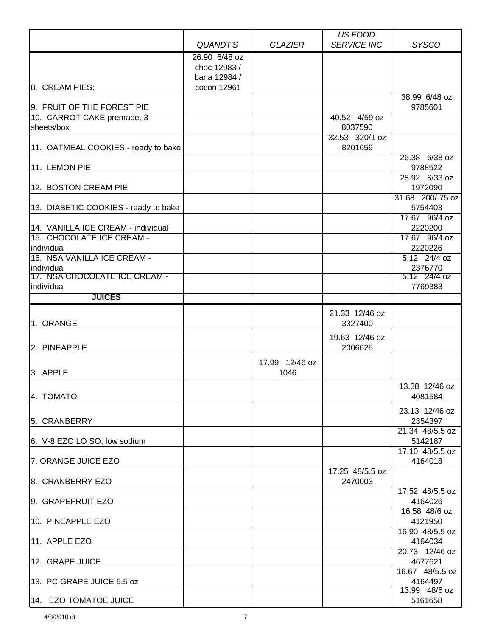|                                             |                 |                | US FOOD            |                            |
|---------------------------------------------|-----------------|----------------|--------------------|----------------------------|
|                                             | <b>QUANDT'S</b> | <b>GLAZIER</b> | <b>SERVICE INC</b> | <b>SYSCO</b>               |
|                                             | 26.90 6/48 oz   |                |                    |                            |
|                                             | choc 12983 /    |                |                    |                            |
|                                             | bana 12984 /    |                |                    |                            |
| 8. CREAM PIES:                              | cocon 12961     |                |                    |                            |
|                                             |                 |                |                    | 38.99 6/48 oz              |
| 9. FRUIT OF THE FOREST PIE                  |                 |                |                    | 9785601                    |
| 10. CARROT CAKE premade, 3                  |                 |                | 40.52 4/59 oz      |                            |
| sheets/box                                  |                 |                | 8037590            |                            |
|                                             |                 |                | 32.53 320/1 oz     |                            |
| 11. OATMEAL COOKIES - ready to bake         |                 |                | 8201659            | 26.38 6/38 oz              |
| 11. LEMON PIE                               |                 |                |                    | 9788522                    |
|                                             |                 |                |                    | 25.92 6/33 oz              |
| 12. BOSTON CREAM PIE                        |                 |                |                    | 1972090                    |
|                                             |                 |                |                    | 31.68 200/.75 oz           |
| 13. DIABETIC COOKIES - ready to bake        |                 |                |                    | 5754403                    |
|                                             |                 |                |                    | 17.67 96/4 oz              |
| 14. VANILLA ICE CREAM - individual          |                 |                |                    | 2220200                    |
| 15. CHOCOLATE ICE CREAM -                   |                 |                |                    | 17.67 96/4 oz              |
| individual                                  |                 |                |                    | 2220226                    |
| 16. NSA VANILLA ICE CREAM -                 |                 |                |                    | 5.12 24/4 oz               |
| individual                                  |                 |                |                    | 2376770                    |
| 17. NSA CHOCOLATE ICE CREAM -<br>individual |                 |                |                    | 5.12 24/4 oz<br>7769383    |
| <b>JUICES</b>                               |                 |                |                    |                            |
|                                             |                 |                |                    |                            |
|                                             |                 |                | 21.33 12/46 oz     |                            |
| 1. ORANGE                                   |                 |                | 3327400            |                            |
|                                             |                 |                | 19.63 12/46 oz     |                            |
| 2. PINEAPPLE                                |                 |                | 2006625            |                            |
|                                             |                 | 17.99 12/46 oz |                    |                            |
| 3. APPLE                                    |                 | 1046           |                    |                            |
|                                             |                 |                |                    | 13.38 12/46 oz             |
| 4. TOMATO                                   |                 |                |                    | 4081584                    |
|                                             |                 |                |                    |                            |
|                                             |                 |                |                    | 23.13 12/46 oz             |
| 5. CRANBERRY                                |                 |                |                    | 2354397<br>21.34 48/5.5 oz |
| 6. V-8 EZO LO SO, low sodium                |                 |                |                    | 5142187                    |
|                                             |                 |                |                    | 17.10 48/5.5 oz            |
| 7. ORANGE JUICE EZO                         |                 |                |                    | 4164018                    |
|                                             |                 |                | 17.25 48/5.5 oz    |                            |
| 8. CRANBERRY EZO                            |                 |                | 2470003            |                            |
|                                             |                 |                |                    | 17.52 48/5.5 oz            |
| 9. GRAPEFRUIT EZO                           |                 |                |                    | 4164026                    |
|                                             |                 |                |                    | 16.58 48/6 oz              |
| 10. PINEAPPLE EZO                           |                 |                |                    | 4121950                    |
|                                             |                 |                |                    | 16.90 48/5.5 oz            |
| 11. APPLE EZO                               |                 |                |                    | 4164034                    |
| 12. GRAPE JUICE                             |                 |                |                    | 20.73 12/46 oz<br>4677621  |
|                                             |                 |                |                    | 16.67 48/5.5 oz            |
| 13. PC GRAPE JUICE 5.5 oz                   |                 |                |                    | 4164497                    |
|                                             |                 |                |                    | 13.99 48/6 oz              |
| 14. EZO TOMATOE JUICE                       |                 |                |                    | 5161658                    |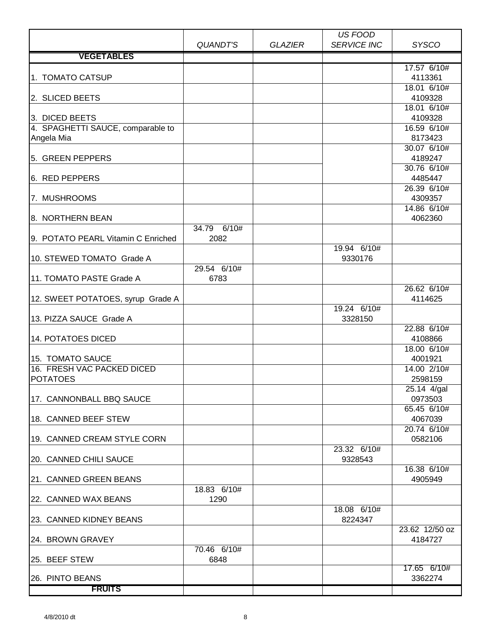|                                                     |                     |                | US FOOD                |                           |
|-----------------------------------------------------|---------------------|----------------|------------------------|---------------------------|
|                                                     | <b>QUANDT'S</b>     | <b>GLAZIER</b> | <b>SERVICE INC</b>     | <b>SYSCO</b>              |
| <b>VEGETABLES</b>                                   |                     |                |                        |                           |
| 1. TOMATO CATSUP                                    |                     |                |                        | 17.57 6/10#<br>4113361    |
| 2. SLICED BEETS                                     |                     |                |                        | 18.01 6/10#<br>4109328    |
|                                                     |                     |                |                        | 18.01 6/10#               |
| 3. DICED BEETS<br>4. SPAGHETTI SAUCE, comparable to |                     |                |                        | 4109328<br>16.59 6/10#    |
| Angela Mia                                          |                     |                |                        | 8173423                   |
| 5. GREEN PEPPERS                                    |                     |                |                        | 30.07 6/10#<br>4189247    |
|                                                     |                     |                |                        | 30.76 6/10#               |
| 6. RED PEPPERS                                      |                     |                |                        | 4485447<br>26.39 6/10#    |
| 7. MUSHROOMS                                        |                     |                |                        | 4309357                   |
| 8. NORTHERN BEAN                                    |                     |                |                        | 14.86 6/10#<br>4062360    |
|                                                     | 34.79 6/10#         |                |                        |                           |
| 9. POTATO PEARL Vitamin C Enriched                  | 2082                |                | 19.94 6/10#            |                           |
| 10. STEWED TOMATO Grade A                           |                     |                | 9330176                |                           |
| 11. TOMATO PASTE Grade A                            | 29.54 6/10#<br>6783 |                |                        |                           |
| 12. SWEET POTATOES, syrup Grade A                   |                     |                |                        | 26.62 6/10#<br>4114625    |
|                                                     |                     |                | 19.24 6/10#            |                           |
| 13. PIZZA SAUCE Grade A                             |                     |                | 3328150                | 22.88 6/10#               |
| <b>14. POTATOES DICED</b>                           |                     |                |                        | 4108866                   |
| 15. TOMATO SAUCE                                    |                     |                |                        | 18.00 6/10#<br>4001921    |
| 16. FRESH VAC PACKED DICED                          |                     |                |                        | 14.00 2/10#               |
| <b>POTATOES</b>                                     |                     |                |                        | 2598159                   |
| 17. CANNONBALL BBQ SAUCE                            |                     |                |                        | 25.14 4/gal<br>0973503    |
| 18. CANNED BEEF STEW                                |                     |                |                        | 65.45 6/10#<br>4067039    |
|                                                     |                     |                |                        | 20.74 6/10#               |
| 19. CANNED CREAM STYLE CORN                         |                     |                |                        | 0582106                   |
| 20. CANNED CHILI SAUCE                              |                     |                | 23.32 6/10#<br>9328543 |                           |
|                                                     |                     |                |                        | 16.38 6/10#               |
| 21. CANNED GREEN BEANS                              | 18.83 6/10#         |                |                        | 4905949                   |
| 22. CANNED WAX BEANS                                | 1290                |                |                        |                           |
| 23. CANNED KIDNEY BEANS                             |                     |                | 18.08 6/10#<br>8224347 |                           |
| 24. BROWN GRAVEY                                    |                     |                |                        | 23.62 12/50 oz<br>4184727 |
| 25. BEEF STEW                                       | 70.46 6/10#<br>6848 |                |                        |                           |
|                                                     |                     |                |                        | 17.65 6/10#               |
| 26. PINTO BEANS<br><b>FRUITS</b>                    |                     |                |                        | 3362274                   |
|                                                     |                     |                |                        |                           |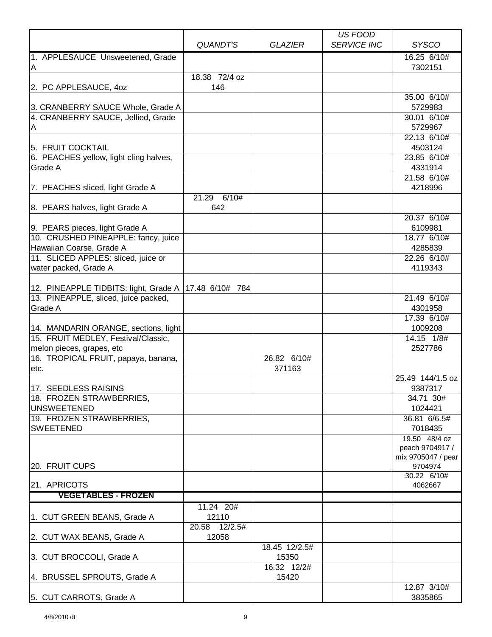|                                        |                 |                | US FOOD            |                                       |
|----------------------------------------|-----------------|----------------|--------------------|---------------------------------------|
|                                        | QUANDT'S        | <b>GLAZIER</b> | <b>SERVICE INC</b> | <b>SYSCO</b>                          |
| 1. APPLESAUCE Unsweetened, Grade       |                 |                |                    | 16.25 6/10#                           |
| A                                      |                 |                |                    | 7302151                               |
|                                        | 18.38 72/4 oz   |                |                    |                                       |
| 2. PC APPLESAUCE, 40Z                  | 146             |                |                    |                                       |
|                                        |                 |                |                    | 35.00 6/10#                           |
| 3. CRANBERRY SAUCE Whole, Grade A      |                 |                |                    | 5729983                               |
| 4. CRANBERRY SAUCE, Jellied, Grade     |                 |                |                    | 30.01 6/10#                           |
| A                                      |                 |                |                    | 5729967                               |
|                                        |                 |                |                    | 22.13 6/10#                           |
| 5. FRUIT COCKTAIL                      |                 |                |                    | 4503124                               |
| 6. PEACHES yellow, light cling halves, |                 |                |                    | 23.85 6/10#                           |
| Grade A                                |                 |                |                    | 4331914                               |
|                                        |                 |                |                    | 21.58 6/10#                           |
| 7. PEACHES sliced, light Grade A       |                 |                |                    | 4218996                               |
|                                        | 21.29<br>6/10#  |                |                    |                                       |
| 8. PEARS halves, light Grade A         | 642             |                |                    |                                       |
|                                        |                 |                |                    | 20.37 6/10#                           |
| 9. PEARS pieces, light Grade A         |                 |                |                    | 6109981                               |
| 10. CRUSHED PINEAPPLE: fancy, juice    |                 |                |                    | 18.77 6/10#                           |
| Hawaiian Coarse, Grade A               |                 |                |                    | 4285839                               |
| 11. SLICED APPLES: sliced, juice or    |                 |                |                    | 22.26 6/10#                           |
| water packed, Grade A                  |                 |                |                    | 4119343                               |
|                                        |                 |                |                    |                                       |
| 12. PINEAPPLE TIDBITS: light, Grade A  | 17.48 6/10# 784 |                |                    |                                       |
| 13. PINEAPPLE, sliced, juice packed,   |                 |                |                    | 21.49 6/10#                           |
| Grade A                                |                 |                |                    | 4301958                               |
|                                        |                 |                |                    | 17.39 6/10#                           |
| 14. MANDARIN ORANGE, sections, light   |                 |                |                    | 1009208                               |
| 15. FRUIT MEDLEY, Festival/Classic,    |                 |                |                    | 14.15 1/8#                            |
| melon pieces, grapes, etc              |                 |                |                    | 2527786                               |
| 16. TROPICAL FRUIT, papaya, banana,    |                 | 26.82 6/10#    |                    |                                       |
| etc.                                   |                 | 371163         |                    |                                       |
|                                        |                 |                |                    | 25.49 144/1.5 oz                      |
| 117. SEEDLESS RAISINS                  |                 |                |                    | 9387317                               |
| 18. FROZEN STRAWBERRIES,               |                 |                |                    | 34.71 30#                             |
| <b>UNSWEETENED</b>                     |                 |                |                    | 1024421                               |
| 19. FROZEN STRAWBERRIES,               |                 |                |                    | 36.81 6/6.5#                          |
| <b>SWEETENED</b>                       |                 |                |                    | 7018435                               |
|                                        |                 |                |                    | 19.50 48/4 oz                         |
|                                        |                 |                |                    | peach 9704917 /<br>mix 9705047 / pear |
| 20. FRUIT CUPS                         |                 |                |                    | 9704974                               |
|                                        |                 |                |                    | 30.22 6/10#                           |
| 21. APRICOTS                           |                 |                |                    | 4062667                               |
| <b>VEGETABLES - FROZEN</b>             |                 |                |                    |                                       |
|                                        | 11.24 20#       |                |                    |                                       |
| 1. CUT GREEN BEANS, Grade A            | 12110           |                |                    |                                       |
|                                        | 20.58 12/2.5#   |                |                    |                                       |
| 2. CUT WAX BEANS, Grade A              | 12058           |                |                    |                                       |
|                                        |                 | 18.45 12/2.5#  |                    |                                       |
| 3. CUT BROCCOLI, Grade A               |                 | 15350          |                    |                                       |
|                                        |                 | 16.32 12/2#    |                    |                                       |
| 4. BRUSSEL SPROUTS, Grade A            |                 | 15420          |                    |                                       |
|                                        |                 |                |                    | 12.87 3/10#                           |
| 5. CUT CARROTS, Grade A                |                 |                |                    | 3835865                               |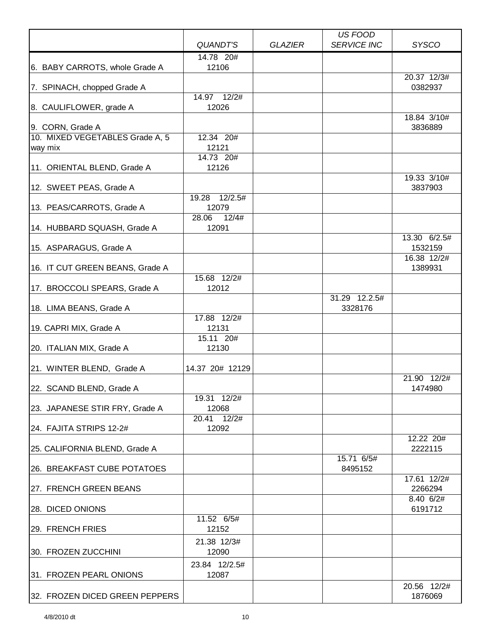|                                 |                         |                | US FOOD            |                        |
|---------------------------------|-------------------------|----------------|--------------------|------------------------|
|                                 | <b>QUANDT'S</b>         | <b>GLAZIER</b> | <b>SERVICE INC</b> | <b>SYSCO</b>           |
|                                 | 14.78 20#               |                |                    |                        |
| 6. BABY CARROTS, whole Grade A  | 12106                   |                |                    |                        |
| 7. SPINACH, chopped Grade A     |                         |                |                    | 20.37 12/3#<br>0382937 |
|                                 | 14.97 12/2#             |                |                    |                        |
| 8. CAULIFLOWER, grade A         | 12026                   |                |                    |                        |
| 9. CORN, Grade A                |                         |                |                    | 18.84 3/10#<br>3836889 |
| 10. MIXED VEGETABLES Grade A, 5 | 12.34 20#               |                |                    |                        |
| way mix                         | 12121                   |                |                    |                        |
| 11. ORIENTAL BLEND, Grade A     | 14.73 20#<br>12126      |                |                    |                        |
|                                 |                         |                |                    | 19.33 3/10#            |
| 12. SWEET PEAS, Grade A         |                         |                |                    | 3837903                |
|                                 | 12/2.5#<br>19.28        |                |                    |                        |
| 13. PEAS/CARROTS, Grade A       | 12079                   |                |                    |                        |
| 14. HUBBARD SQUASH, Grade A     | 12/4#<br>28.06<br>12091 |                |                    |                        |
|                                 |                         |                |                    | 13.30 6/2.5#           |
| 15. ASPARAGUS, Grade A          |                         |                |                    | 1532159                |
|                                 |                         |                |                    | 16.38 12/2#            |
| 16. IT CUT GREEN BEANS, Grade A | 15.68 12/2#             |                |                    | 1389931                |
| 17. BROCCOLI SPEARS, Grade A    | 12012                   |                |                    |                        |
|                                 |                         |                | 31.29 12.2.5#      |                        |
| 18. LIMA BEANS, Grade A         |                         |                | 3328176            |                        |
|                                 | 17.88 12/2#             |                |                    |                        |
| 19. CAPRI MIX, Grade A          | 12131<br>15.11 20#      |                |                    |                        |
| 20. ITALIAN MIX, Grade A        | 12130                   |                |                    |                        |
|                                 |                         |                |                    |                        |
| 21. WINTER BLEND, Grade A       | 14.37 20# 12129         |                |                    |                        |
|                                 |                         |                |                    | 21.90 12/2#            |
| 22. SCAND BLEND, Grade A        | 19.31 12/2#             |                |                    | 1474980                |
| 23. JAPANESE STIR FRY, Grade A  | 12068                   |                |                    |                        |
|                                 | 20.41 12/2#             |                |                    |                        |
| 24. FAJITA STRIPS 12-2#         | 12092                   |                |                    |                        |
|                                 |                         |                |                    | 12.22 20#              |
| 25. CALIFORNIA BLEND, Grade A   |                         |                | 15.71 6/5#         | 2222115                |
| 26. BREAKFAST CUBE POTATOES     |                         |                | 8495152            |                        |
|                                 |                         |                |                    | 17.61 12/2#            |
| 27. FRENCH GREEN BEANS          |                         |                |                    | 2266294                |
|                                 |                         |                |                    | 8.40 6/2#              |
| 28. DICED ONIONS                | 11.52 6/5#              |                |                    | 6191712                |
| 29. FRENCH FRIES                | 12152                   |                |                    |                        |
|                                 | 21.38 12/3#             |                |                    |                        |
| 30. FROZEN ZUCCHINI             | 12090                   |                |                    |                        |
|                                 | 23.84 12/2.5#           |                |                    |                        |
| 31. FROZEN PEARL ONIONS         | 12087                   |                |                    |                        |
| 32. FROZEN DICED GREEN PEPPERS  |                         |                |                    | 20.56 12/2#<br>1876069 |
|                                 |                         |                |                    |                        |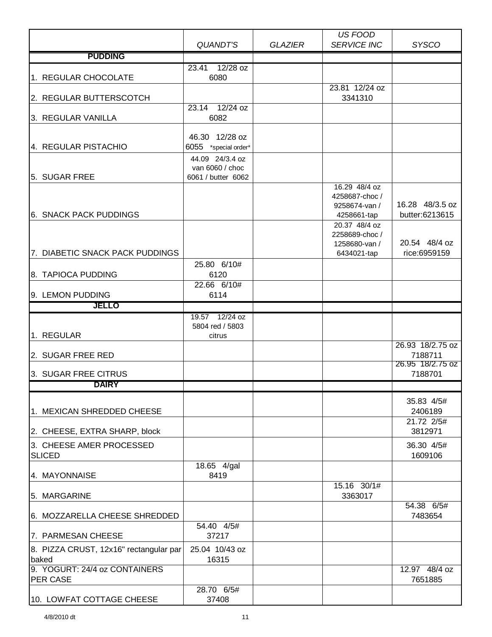|                                                 |                                                          |                | US FOOD                                                        |                                                    |
|-------------------------------------------------|----------------------------------------------------------|----------------|----------------------------------------------------------------|----------------------------------------------------|
| <b>PUDDING</b>                                  | QUANDT'S                                                 | <b>GLAZIER</b> | <b>SERVICE INC</b>                                             | <b>SYSCO</b>                                       |
|                                                 |                                                          |                |                                                                |                                                    |
| 1. REGULAR CHOCOLATE                            | $12/28$ oz<br>23.41<br>6080                              |                |                                                                |                                                    |
|                                                 |                                                          |                | 23.81 12/24 oz                                                 |                                                    |
| 2. REGULAR BUTTERSCOTCH                         |                                                          |                | 3341310                                                        |                                                    |
|                                                 | 23.14 12/24 oz                                           |                |                                                                |                                                    |
| 3. REGULAR VANILLA                              | 6082                                                     |                |                                                                |                                                    |
| 4. REGULAR PISTACHIO                            | 46.30 12/28 oz<br>6055 *special order*                   |                |                                                                |                                                    |
| 5. SUGAR FREE                                   | 44.09 24/3.4 oz<br>van 6060 / choc<br>6061 / butter 6062 |                | 16.29 48/4 oz<br>4258687-choc/                                 |                                                    |
| <b>6. SNACK PACK PUDDINGS</b>                   |                                                          |                | 9258674-van /<br>4258661-tap<br>20.37 48/4 oz<br>2258689-choc/ | 16.28 48/3.5 oz<br>butter:6213615<br>20.54 48/4 oz |
| 7. DIABETIC SNACK PACK PUDDINGS                 |                                                          |                | 1258680-van /<br>6434021-tap                                   | rice:6959159                                       |
|                                                 | 25.80 6/10#                                              |                |                                                                |                                                    |
| 8. TAPIOCA PUDDING                              | 6120                                                     |                |                                                                |                                                    |
|                                                 | 22.66 6/10#                                              |                |                                                                |                                                    |
| 9. LEMON PUDDING                                | 6114                                                     |                |                                                                |                                                    |
| <b>JELLO</b>                                    |                                                          |                |                                                                |                                                    |
| 1. REGULAR                                      | 19.57 12/24 oz<br>5804 red / 5803<br>citrus              |                |                                                                |                                                    |
| 2. SUGAR FREE RED                               |                                                          |                |                                                                | 26.93 18/2.75 oz<br>7188711                        |
| 3. SUGAR FREE CITRUS                            |                                                          |                |                                                                | 26.95 18/2.75 oz<br>7188701                        |
| <b>DAIRY</b>                                    |                                                          |                |                                                                |                                                    |
| 1. MEXICAN SHREDDED CHEESE                      |                                                          |                |                                                                | 35.83 4/5#<br>2406189                              |
|                                                 |                                                          |                |                                                                | 21.72 2/5#                                         |
| 2. CHEESE, EXTRA SHARP, block                   |                                                          |                |                                                                | 3812971                                            |
| 3. CHEESE AMER PROCESSED<br><b>SLICED</b>       |                                                          |                |                                                                | 36.30 4/5#<br>1609106                              |
| 4. MAYONNAISE                                   | 18.65 4/gal<br>8419                                      |                |                                                                |                                                    |
| 5. MARGARINE                                    |                                                          |                | 15.16 30/1#<br>3363017                                         |                                                    |
| 6. MOZZARELLA CHEESE SHREDDED                   |                                                          |                |                                                                | 54.38 6/5#<br>7483654                              |
| 7. PARMESAN CHEESE                              | 54.40 4/5#<br>37217                                      |                |                                                                |                                                    |
| 8. PIZZA CRUST, 12x16" rectangular par<br>baked | 25.04 10/43 oz<br>16315                                  |                |                                                                |                                                    |
| 9. YOGURT: 24/4 oz CONTAINERS                   |                                                          |                |                                                                | 12.97 48/4 oz                                      |
| PER CASE                                        |                                                          |                |                                                                | 7651885                                            |
| 10. LOWFAT COTTAGE CHEESE                       | 28.70 6/5#<br>37408                                      |                |                                                                |                                                    |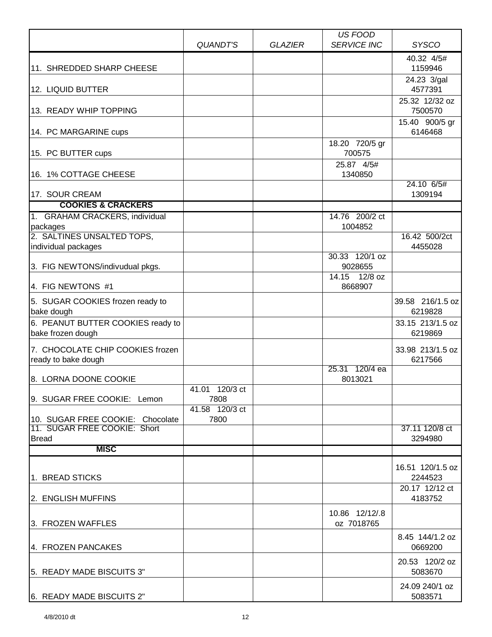|                                                        |                        |                | <b>US FOOD</b>           |                             |
|--------------------------------------------------------|------------------------|----------------|--------------------------|-----------------------------|
|                                                        | <b>QUANDT'S</b>        | <b>GLAZIER</b> | <b>SERVICE INC</b>       | <b>SYSCO</b>                |
|                                                        |                        |                |                          | 40.32 4/5#                  |
| 11. SHREDDED SHARP CHEESE                              |                        |                |                          | 1159946                     |
|                                                        |                        |                |                          | 24.23 3/gal                 |
| 12. LIQUID BUTTER                                      |                        |                |                          | 4577391                     |
| 13. READY WHIP TOPPING                                 |                        |                |                          | 25.32 12/32 oz<br>7500570   |
|                                                        |                        |                |                          | 15.40 900/5 gr              |
| 14. PC MARGARINE cups                                  |                        |                |                          | 6146468                     |
| 15. PC BUTTER cups                                     |                        |                | 18.20 720/5 gr<br>700575 |                             |
|                                                        |                        |                | 25.87 4/5#               |                             |
| 16. 1% COTTAGE CHEESE                                  |                        |                | 1340850                  |                             |
|                                                        |                        |                |                          | 24.10 6/5#                  |
| 17. SOUR CREAM                                         |                        |                |                          | 1309194                     |
| <b>COOKIES &amp; CRACKERS</b>                          |                        |                |                          |                             |
| 1. GRAHAM CRACKERS, individual                         |                        |                | 14.76 200/2 ct           |                             |
| packages<br>2. SALTINES UNSALTED TOPS,                 |                        |                | 1004852                  | 16.42 500/2ct               |
| individual packages                                    |                        |                |                          | 4455028                     |
|                                                        |                        |                | 30.33 120/1 oz           |                             |
| 3. FIG NEWTONS/indivudual pkgs.                        |                        |                | 9028655                  |                             |
| 4. FIG NEWTONS #1                                      |                        |                | 14.15 12/8 oz<br>8668907 |                             |
| 5. SUGAR COOKIES frozen ready to                       |                        |                |                          | 39.58 216/1.5 oz            |
| bake dough                                             |                        |                |                          | 6219828                     |
| 6. PEANUT BUTTER COOKIES ready to<br>bake frozen dough |                        |                |                          | 33.15 213/1.5 oz<br>6219869 |
| 7. CHOCOLATE CHIP COOKIES frozen                       |                        |                |                          | 33.98 213/1.5 oz            |
| ready to bake dough                                    |                        |                |                          | 6217566                     |
|                                                        |                        |                | 25.31 120/4 ea           |                             |
| 8. LORNA DOONE COOKIE                                  |                        |                | 8013021                  |                             |
| 9. SUGAR FREE COOKIE: Lemon                            | 41.01 120/3 ct<br>7808 |                |                          |                             |
|                                                        | 41.58 120/3 ct         |                |                          |                             |
| 10. SUGAR FREE COOKIE: Chocolate                       | 7800                   |                |                          |                             |
| 11. SUGAR FREE COOKIE: Short                           |                        |                |                          | 37.11 120/8 ct              |
| <b>Bread</b>                                           |                        |                |                          | 3294980                     |
| <b>MISC</b>                                            |                        |                |                          |                             |
|                                                        |                        |                |                          | 16.51 120/1.5 oz            |
| 1. BREAD STICKS                                        |                        |                |                          | 2244523<br>20.17 12/12 ct   |
| 2. ENGLISH MUFFINS                                     |                        |                |                          | 4183752                     |
|                                                        |                        |                | 10.86 12/12/.8           |                             |
| 3. FROZEN WAFFLES                                      |                        |                | oz 7018765               |                             |
|                                                        |                        |                |                          | 8.45 144/1.2 oz             |
| 4. FROZEN PANCAKES                                     |                        |                |                          | 0669200                     |
|                                                        |                        |                |                          | 20.53 120/2 oz              |
| 5. READY MADE BISCUITS 3"                              |                        |                |                          | 5083670                     |
|                                                        |                        |                |                          | 24.09 240/1 oz              |
| 6. READY MADE BISCUITS 2"                              |                        |                |                          | 5083571                     |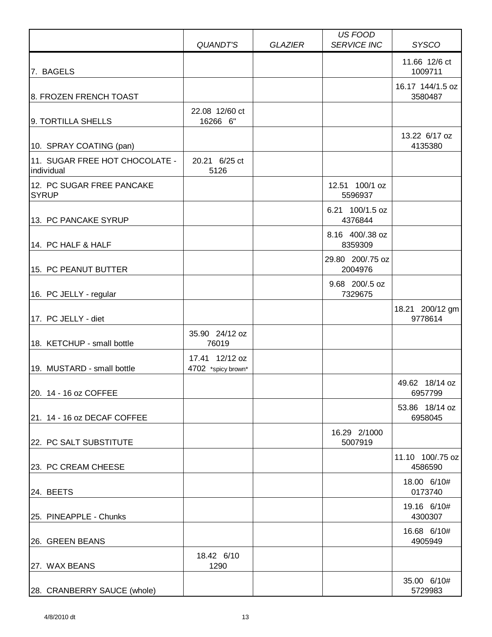|                                              | <b>QUANDT'S</b>                      | <b>GLAZIER</b> | US FOOD<br><b>SERVICE INC</b> | <b>SYSCO</b>                |
|----------------------------------------------|--------------------------------------|----------------|-------------------------------|-----------------------------|
|                                              |                                      |                |                               |                             |
| 7. BAGELS                                    |                                      |                |                               | 11.66 12/6 ct<br>1009711    |
| 8. FROZEN FRENCH TOAST                       |                                      |                |                               | 16.17 144/1.5 oz<br>3580487 |
| 9. TORTILLA SHELLS                           | 22.08 12/60 ct<br>16266 6"           |                |                               |                             |
| 10. SPRAY COATING (pan)                      |                                      |                |                               | 13.22 6/17 oz<br>4135380    |
| 11. SUGAR FREE HOT CHOCOLATE -<br>individual | 20.21 6/25 ct<br>5126                |                |                               |                             |
| 12. PC SUGAR FREE PANCAKE<br><b>SYRUP</b>    |                                      |                | 12.51 100/1 oz<br>5596937     |                             |
| 13. PC PANCAKE SYRUP                         |                                      |                | 6.21 100/1.5 oz<br>4376844    |                             |
| 14. PC HALF & HALF                           |                                      |                | 8.16 400/.38 oz<br>8359309    |                             |
| 15. PC PEANUT BUTTER                         |                                      |                | 29.80 200/.75 oz<br>2004976   |                             |
| 16. PC JELLY - regular                       |                                      |                | 9.68 200/.5 oz<br>7329675     |                             |
| 17. PC JELLY - diet                          |                                      |                |                               | 18.21 200/12 gm<br>9778614  |
| 18. KETCHUP - small bottle                   | 35.90 24/12 oz<br>76019              |                |                               |                             |
| 19. MUSTARD - small bottle                   | 17.41 12/12 oz<br>4702 *spicy brown* |                |                               |                             |
| 20. 14 - 16 oz COFFEE                        |                                      |                |                               | 49.62 18/14 oz<br>6957799   |
| 21. 14 - 16 oz DECAF COFFEE                  |                                      |                |                               | 53.86 18/14 oz<br>6958045   |
| 22. PC SALT SUBSTITUTE                       |                                      |                | 16.29 2/1000<br>5007919       |                             |
| 23. PC CREAM CHEESE                          |                                      |                |                               | 11.10 100/.75 oz<br>4586590 |
| 24. BEETS                                    |                                      |                |                               | 18.00 6/10#<br>0173740      |
| 25. PINEAPPLE - Chunks                       |                                      |                |                               | 19.16 6/10#<br>4300307      |
| 26. GREEN BEANS                              |                                      |                |                               | 16.68 6/10#<br>4905949      |
| 27. WAX BEANS                                | 18.42 6/10<br>1290                   |                |                               |                             |
| 28. CRANBERRY SAUCE (whole)                  |                                      |                |                               | 35.00 6/10#<br>5729983      |